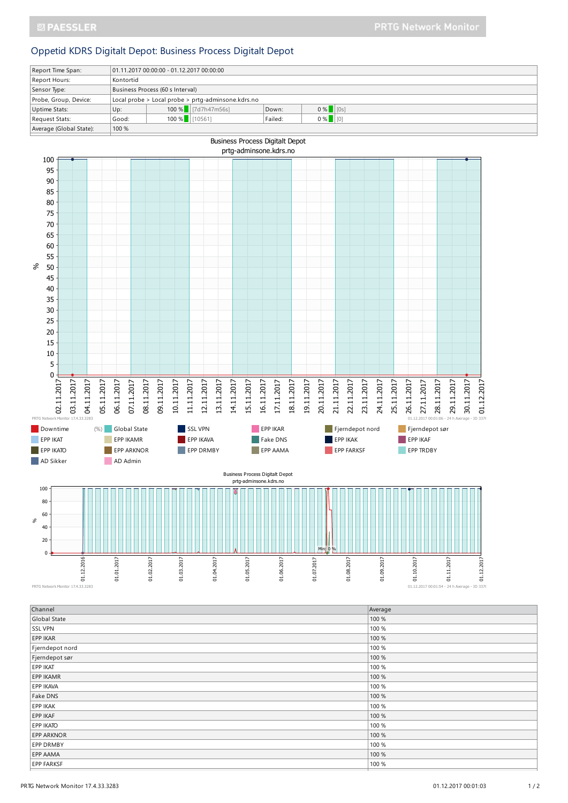## Oppetid KDRS Digitalt Depot: Business Process Digitalt Depot

| Report Time Span:       | $ 01.11.201700:00:00 - 01.12.201700:00.00 $        |                  |                         |         |            |  |  |
|-------------------------|----------------------------------------------------|------------------|-------------------------|---------|------------|--|--|
| Report Hours:           | Kontortid                                          |                  |                         |         |            |  |  |
| Sensor Type:            | Business Process (60 s Interval)                   |                  |                         |         |            |  |  |
| Probe, Group, Device:   | Local probe > Local probe > prtg-adminsone.kdrs.no |                  |                         |         |            |  |  |
| Uptime Stats:           | Up:                                                |                  | 100 % $  $ [7d7h47m56s] | Down:   | $0\%$ [0s] |  |  |
| Request Stats:          | Good:                                              | $100\%$ [[10561] |                         | Failed: | $0 %$ [[0] |  |  |
| Average (Global State): | 100 %                                              |                  |                         |         |            |  |  |



| Channel           | Average |
|-------------------|---------|
| Global State      | 100 %   |
| <b>SSL VPN</b>    | 100 %   |
| EPP IKAR          | 100 %   |
| Fjerndepot nord   | 100 %   |
| Fjerndepot sør    | 100 %   |
| EPP IKAT          | 100 %   |
| EPP IKAMR         | 100 %   |
| EPP IKAVA         | 100 %   |
| Fake DNS          | 100 %   |
| EPP IKAK          | 100 %   |
| EPP IKAF          | 100 %   |
| EPP IKATO         | 100 %   |
| <b>EPP ARKNOR</b> | 100 %   |
| EPP DRMBY         | 100 %   |
| EPP AAMA          | 100 %   |
| <b>EPP FARKSF</b> | 100 %   |